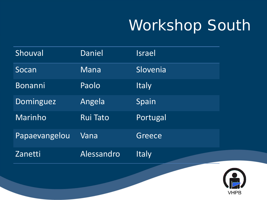# Workshop South

| Shouval       | <b>Daniel</b>   | Israel       |
|---------------|-----------------|--------------|
| Socan         | Mana            | Slovenia     |
| Bonanni       | Paolo           | <b>Italy</b> |
| Dominguez     | Angela          | Spain        |
| Marinho       | <b>Rui Tato</b> | Portugal     |
| Papaevangelou | Vana            | Greece       |
| Zanetti       | Alessandro      | <b>Italy</b> |

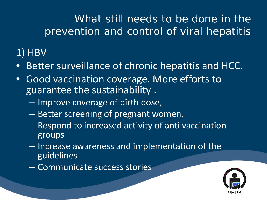What still needs to be done in the prevention and control of viral hepatitis

## 1) HBV

- Better surveillance of chronic hepatitis and HCC.
- Good vaccination coverage. More efforts to guarantee the sustainability .
	- Improve coverage of birth dose,
	- Better screening of pregnant women,
	- Respond to increased activity of anti vaccination groups
	- Increase awareness and implementation of the guidelines
	- Communicate success stories

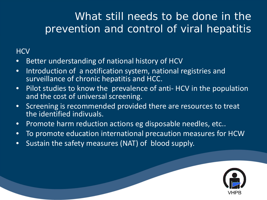### What still needs to be done in the prevention and control of viral hepatitis

#### **HCV**

- Better understanding of national history of HCV
- Introduction of a notification system, national registries and surveillance of chronic hepatitis and HCC.
- Pilot studies to know the prevalence of anti- HCV in the population and the cost of universal screening.
- Screening is recommended provided there are resources to treat the identified indivuals.
- Promote harm reduction actions eg disposable needles, etc..
- To promote education international precaution measures for HCW
- Sustain the safety measures (NAT) of blood supply.

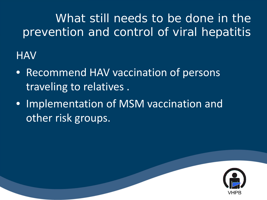## What still needs to be done in the prevention and control of viral hepatitis

**HAV** 

- Recommend HAV vaccination of persons traveling to relatives .
- Implementation of MSM vaccination and other risk groups.